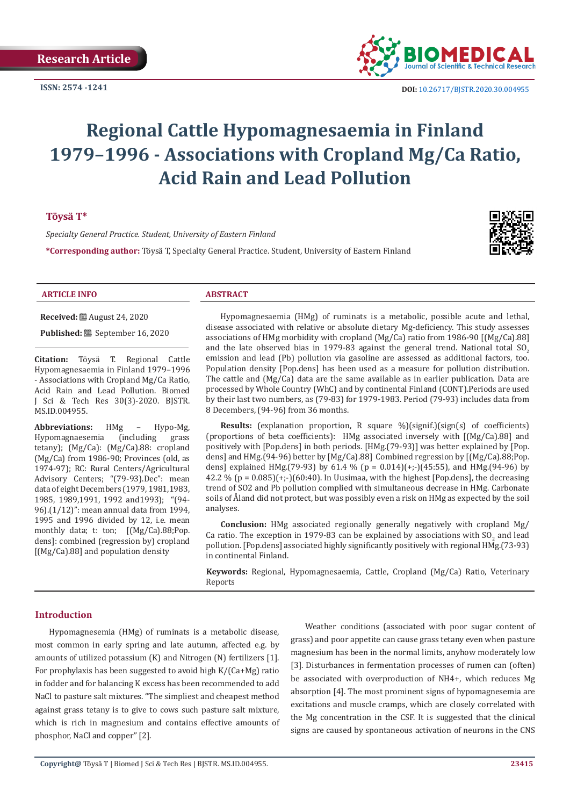**ISSN: 2574 -1241**



 **DOI:** [10.26717/BJSTR.2020.30.0049](http://dx.doi.org/10.26717/BJSTR.2020.30.004955)55

# **Regional Cattle Hypomagnesaemia in Finland 1979–1996 - Associations with Cropland Mg/Ca Ratio, Acid Rain and Lead Pollution**

## **Töysä T\***

*Specialty General Practice. Student, University of Eastern Finland*

**\*Corresponding author:** Töysä T, Specialty General Practice. Student, University of Eastern Finland



#### **ARTICLE INFO ABSTRACT**

**Received:** ■ August 24, 2020

**Published:** <sup>8</sup> September 16, 2020

**Citation:** Töysä T. Regional Cattle Hypomagnesaemia in Finland 1979–1996 - Associations with Cropland Mg/Ca Ratio, Acid Rain and Lead Pollution. Biomed J Sci & Tech Res 30(3)-2020. BJSTR. MS.ID.004955.

**Abbreviations:** HMg - Hypo-Mg,<br>Hypomagnaesemia (including grass Hypomagnaesemia tetany); (Mg/Ca): (Mg/Ca).88: cropland (Mg/Ca) from 1986-90; Provinces (old, as 1974-97); RC: Rural Centers/Agricultural Advisory Centers; "(79-93).Dec": mean data of eight Decembers (1979, 1981,1983, 1985, 1989,1991, 1992 and1993); "(94- 96).(1/12)": mean annual data from 1994, 1995 and 1996 divided by 12, i.e. mean monthly data; t: ton; [(Mg/Ca).88;Pop. dens]: combined (regression by) cropland [(Mg/Ca).88] and population density

Hypomagnesaemia (HMg) of ruminats is a metabolic, possible acute and lethal, disease associated with relative or absolute dietary Mg-deficiency. This study assesses associations of HMg morbidity with cropland (Mg/Ca) ratio from 1986-90 [(Mg/Ca).88] and the late observed bias in 1979-83 against the general trend. National total  $SO<sub>2</sub>$ emission and lead (Pb) pollution via gasoline are assessed as additional factors, too. Population density [Pop.dens] has been used as a measure for pollution distribution. The cattle and (Mg/Ca) data are the same available as in earlier publication. Data are processed by Whole Country (WhC) and by continental Finland (CONT).Periods are used by their last two numbers, as (79-83) for 1979-1983. Period (79-93) includes data from 8 Decembers, (94-96) from 36 months.

**Results:** (explanation proportion, R square %)(signif.)(sign(s) of coefficients) (proportions of beta coefficients): HMg associated inversely with [(Mg/Ca).88] and positively with [Pop.dens] in both periods. [HMg.(79-93)] was better explained by [Pop. dens] and HMg.(94-96) better by [Mg/Ca).88] Combined regression by [(Mg/Ca).88;Pop. dens] explained HMg.(79-93) by 61.4 % (p = 0.014)(+;-)(45:55), and HMg.(94-96) by 42.2 % ( $p = 0.085$ )( $+$ ;-)(60:40). In Uusimaa, with the highest [Pop.dens], the decreasing trend of SO2 and Pb pollution complied with simultaneous decrease in HMg. Carbonate soils of Åland did not protect, but was possibly even a risk on HMg as expected by the soil analyses.

**Conclusion:** HMg associated regionally generally negatively with cropland Mg/ Ca ratio. The exception in 1979-83 can be explained by associations with  $SO_2$  and lead pollution. [Pop.dens] associated highly significantly positively with regional HMg.(73-93) in continental Finland.

**Keywords:** Regional, Hypomagnesaemia, Cattle, Cropland (Mg/Ca) Ratio, Veterinary Reports

#### **Introduction**

Hypomagnesemia (HMg) of ruminats is a metabolic disease, most common in early spring and late autumn, affected e.g. by amounts of utilized potassium (K) and Nitrogen (N) fertilizers [1]. For prophylaxis has been suggested to avoid high K/(Ca+Mg) ratio in fodder and for balancing K excess has been recommended to add NaCl to pasture salt mixtures. "The simpliest and cheapest method against grass tetany is to give to cows such pasture salt mixture, which is rich in magnesium and contains effective amounts of phosphor, NaCl and copper" [2].

Weather conditions (associated with poor sugar content of grass) and poor appetite can cause grass tetany even when pasture magnesium has been in the normal limits, anyhow moderately low [3]. Disturbances in fermentation processes of rumen can (often) be associated with overproduction of NH4+, which reduces Mg absorption [4]. The most prominent signs of hypomagnesemia are excitations and muscle cramps, which are closely correlated with the Mg concentration in the CSF. It is suggested that the clinical signs are caused by spontaneous activation of neurons in the CNS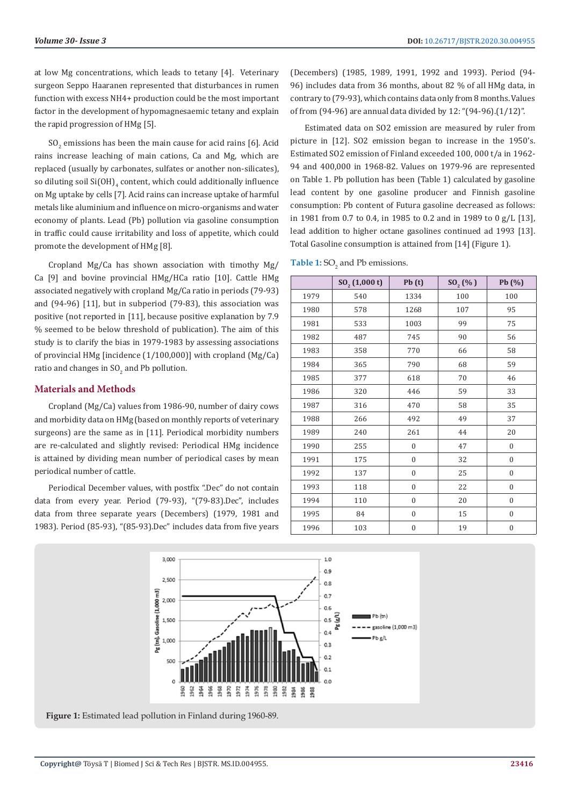at low Mg concentrations, which leads to tetany [4]. Veterinary surgeon Seppo Haaranen represented that disturbances in rumen function with excess NH4+ production could be the most important factor in the development of hypomagnesaemic tetany and explain the rapid progression of HMg [5].

 $SO<sub>2</sub>$  emissions has been the main cause for acid rains [6]. Acid rains increase leaching of main cations, Ca and Mg, which are replaced (usually by carbonates, sulfates or another non-silicates), so diluting soil  $\mathrm{Si(OH)}_{4}$  content, which could additionally influence on Mg uptake by cells [7]. Acid rains can increase uptake of harmful metals like aluminium and influence on micro-organisms and water economy of plants. Lead (Pb) pollution via gasoline consumption in traffic could cause irritability and loss of appetite, which could promote the development of HMg [8].

Cropland Mg/Ca has shown association with timothy Mg/ Ca [9] and bovine provincial HMg/HCa ratio [10]. Cattle HMg associated negatively with cropland Mg/Ca ratio in periods (79-93) and (94-96) [11], but in subperiod (79-83), this association was positive (not reported in [11], because positive explanation by 7.9 % seemed to be below threshold of publication). The aim of this study is to clarify the bias in 1979-1983 by assessing associations of provincial HMg [incidence (1/100,000)] with cropland (Mg/Ca) ratio and changes in  $\mathrm{SO}_2$  and Pb pollution.

### **Materials and Methods**

Cropland (Mg/Ca) values from 1986-90, number of dairy cows and morbidity data on HMg (based on monthly reports of veterinary surgeons) are the same as in [11]. Periodical morbidity numbers are re-calculated and slightly revised: Periodical HMg incidence is attained by dividing mean number of periodical cases by mean periodical number of cattle.

Periodical December values, with postfix ".Dec" do not contain data from every year. Period (79-93), "(79-83).Dec", includes data from three separate years (Decembers) (1979, 1981 and 1983). Period (85-93), "(85-93).Dec" includes data from five years (Decembers) (1985, 1989, 1991, 1992 and 1993). Period (94- 96) includes data from 36 months, about 82 % of all HMg data, in contrary to (79-93), which contains data only from 8 months. Values of from (94-96) are annual data divided by 12: "(94-96).(1/12)".

Estimated data on SO2 emission are measured by ruler from picture in [12]. SO2 emission began to increase in the 1950's. Estimated SO2 emission of Finland exceeded 100, 000 t/a in 1962- 94 and 400,000 in 1968-82. Values on 1979-96 are represented on Table 1. Pb pollution has been (Table 1) calculated by gasoline lead content by one gasoline producer and Finnish gasoline consumption: Pb content of Futura gasoline decreased as follows: in 1981 from 0.7 to 0.4, in 1985 to 0.2 and in 1989 to 0 g/L [13], lead addition to higher octane gasolines continued ad 1993 [13]. Total Gasoline consumption is attained from [14] (Figure 1).

**Table 1:**  $SO_2$  and Pb emissions.

|      | $SO_2(1,000t)$ | Pb(t)            | $SO_2(%)$ | Pb (%)           |
|------|----------------|------------------|-----------|------------------|
| 1979 | 540            | 1334             | 100       | 100              |
| 1980 | 578            | 1268             | 107       | 95               |
| 1981 | 533            | 1003             | 99        | 75               |
| 1982 | 487            | 745              | 90        | 56               |
| 1983 | 358            | 770              | 66        | 58               |
| 1984 | 365            | 790              | 68        | 59               |
| 1985 | 377            | 618              | 70        |                  |
| 1986 | 320            | 446              | 59        | 33               |
| 1987 | 316            | 470              | 58        | 35               |
| 1988 | 266            | 492              | 49        | 37               |
| 1989 | 240            | 261              | 44        | 20               |
| 1990 | 255            | $\mathbf{0}$     | 47        | $\boldsymbol{0}$ |
| 1991 | 175            | $\boldsymbol{0}$ | 32        | $\boldsymbol{0}$ |
| 1992 | 137            | $\boldsymbol{0}$ | 25        | $\boldsymbol{0}$ |
| 1993 | 118            | $\boldsymbol{0}$ | 22        | $\boldsymbol{0}$ |
| 1994 | 110            | $\mathbf{0}$     | 20        | $\mathbf{0}$     |
| 1995 | 84             | $\mathbf{0}$     | 15        | $\mathbf{0}$     |
| 1996 | 103            | $\boldsymbol{0}$ | 19        | $\boldsymbol{0}$ |



**Figure 1:** Estimated lead pollution in Finland during 1960-89.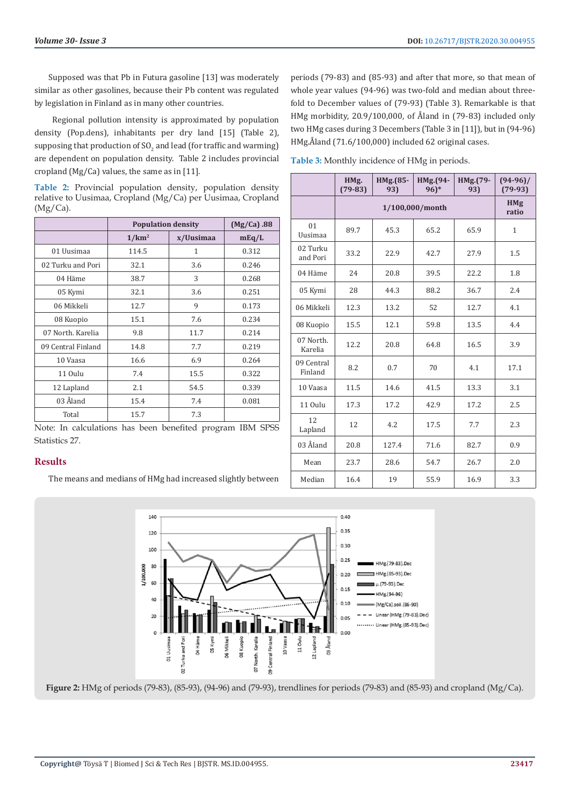Supposed was that Pb in Futura gasoline [13] was moderately similar as other gasolines, because their Pb content was regulated by legislation in Finland as in many other countries.

 Regional pollution intensity is approximated by population density (Pop.dens), inhabitants per dry land [15] (Table 2), supposing that production of SO<sub>2</sub> and lead (for traffic and warming) are dependent on population density. Table 2 includes provincial cropland (Mg/Ca) values, the same as in [11].

**Table 2:** Provincial population density, population density relative to Uusimaa, Cropland (Mg/Ca) per Uusimaa, Cropland  $(Mg/Ca)$ .

|                    | <b>Population density</b> |           | (Mg/Ca) .88 |
|--------------------|---------------------------|-----------|-------------|
|                    | 1/km <sup>2</sup>         | x/Uusimaa | mEq/L       |
| 01 Uusimaa         | 114.5                     | 1         | 0.312       |
| 02 Turku and Pori  | 32.1                      | 3.6       | 0.246       |
| 04 Häme            | 38.7                      | 3         | 0.268       |
| 05 Kymi            | 32.1                      | 3.6       | 0.251       |
| 06 Mikkeli         | 12.7                      | 9         | 0.173       |
| 08 Kuopio          | 15.1                      | 7.6       | 0.234       |
| 07 North, Karelia  | 9.8                       | 11.7      | 0.214       |
| 09 Central Finland | 14.8                      | 7.7       | 0.219       |
| 10 Vaasa           | 16.6                      | 6.9       | 0.264       |
| 11 Oulu            | 7.4                       | 15.5      | 0.322       |
| 12 Lapland         | 2.1                       | 54.5      | 0.339       |
| 03 Åland           | 15.4                      | 7.4       | 0.081       |
| Total              | 15.7                      | 7.3       |             |

Note: In calculations has been benefited program IBM SPSS Statistics 27.

## **Results**

The means and medians of HMg had increased slightly between

periods (79-83) and (85-93) and after that more, so that mean of whole year values (94-96) was two-fold and median about threefold to December values of (79-93) (Table 3). Remarkable is that HMg morbidity, 20.9/100,000, of Åland in (79-83) included only two HMg cases during 3 Decembers (Table 3 in [11]), but in (94-96) HMg.Åland (71.6/100,000) included 62 original cases.

|                       | HMg.<br>$(79-83)$ | HMg.(85-<br>93) | HMg.(94-<br>$96)*$ | HMg.(79-<br>93) | $(94-96)$<br>$(79-93)$ |
|-----------------------|-------------------|-----------------|--------------------|-----------------|------------------------|
|                       | 1/100,000/month   |                 |                    |                 | <b>HMg</b><br>ratio    |
| 01<br>Uusimaa         | 89.7              | 45.3            | 65.2               | 65.9            | 1                      |
| 02 Turku<br>and Pori  | 33.2              | 22.9            | 42.7               | 27.9            | 1.5                    |
| 04 Häme               | 24                | 20.8            | 39.5               | 22.2            | 1.8                    |
| 05 Kymi               | 28                | 44.3            | 88.2               | 36.7            | 2.4                    |
| 06 Mikkeli            | 12.3              | 13.2            | 52                 | 12.7            | 4.1                    |
| 08 Kuopio             | 15.5              | 12.1            | 59.8               | 13.5            | 4.4                    |
| 07 North.<br>Karelia  | 12.2              | 20.8            | 64.8               | 16.5            | 3.9                    |
| 09 Central<br>Finland | 8.2               | 0.7             | 70                 | 4.1             | 17.1                   |
| 10 Vaasa              | 11.5              | 14.6            | 41.5               | 13.3            | 3.1                    |
| 11 Oulu               | 17.3              | 17.2            | 42.9               | 17.2            | 2.5                    |
| 12<br>Lapland         | 12                | 4.2             | 17.5               | 7.7             | 2.3                    |
| 03 Åland              | 20.8              | 127.4           | 71.6               | 82.7            | 0.9                    |
| Mean                  | 23.7              | 28.6            | 54.7               | 26.7            | 2.0                    |
| Median                | 16.4              | 19              | 55.9               | 16.9            | 3.3                    |



**Figure 2:** HMg of periods (79-83), (85-93), (94-96) and (79-93), trendlines for periods (79-83) and (85-93) and cropland (Mg/Ca).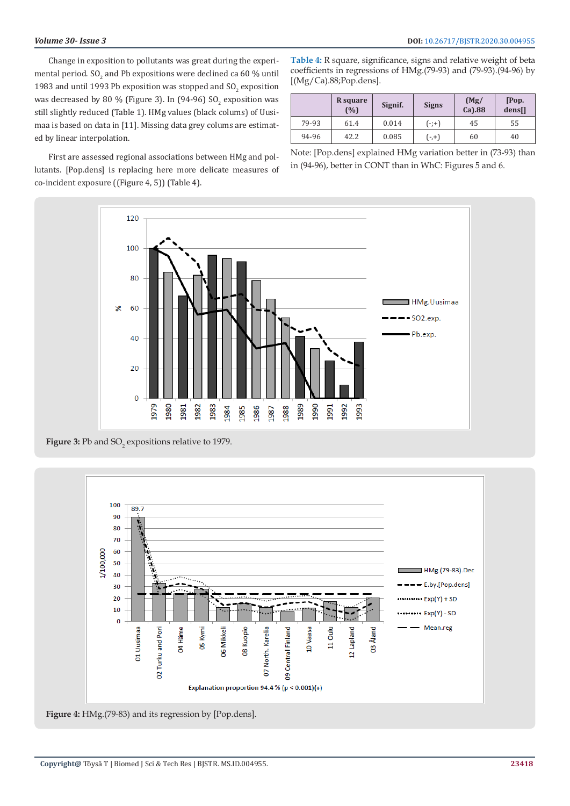Change in exposition to pollutants was great during the experimental period.  $\mathrm{SO}_2$  and Pb expositions were declined ca 60  $\%$  until 1983 and until 1993 Pb exposition was stopped and  $\mathrm{SO}_2$  exposition was decreased by 80 % (Figure 3). In (94-96) SO<sub>2</sub> exposition was still slightly reduced (Table 1). HMg values (black colums) of Uusimaa is based on data in [11]. Missing data grey colums are estimated by linear interpolation.

First are assessed regional associations between HMg and pollutants. [Pop.dens] is replacing here more delicate measures of co-incident exposure ((Figure 4, 5)) (Table 4).

**Table 4:** R square, significance, signs and relative weight of beta coefficients in regressions of HMg.(79-93) and (79-93).(94-96) by [(Mg/Ca).88;Pop.dens].

|       | R square<br>(%) | Signif. | <b>Signs</b> | (Mg)<br>$Ca$ ).88 | [Pop.<br>dens[] |
|-------|-----------------|---------|--------------|-------------------|-----------------|
| 79-93 | 61.4            | 0.014   | $(-;+)$      | 45                | 55              |
| 94-96 | 42.2            | 0.085   | $(-, +)$     | 60                | 40              |

Note: [Pop.dens] explained HMg variation better in (73-93) than in (94-96), better in CONT than in WhC: Figures 5 and 6.



**Figure 3:** Pb and  $SO_2$  expositions relative to 1979.



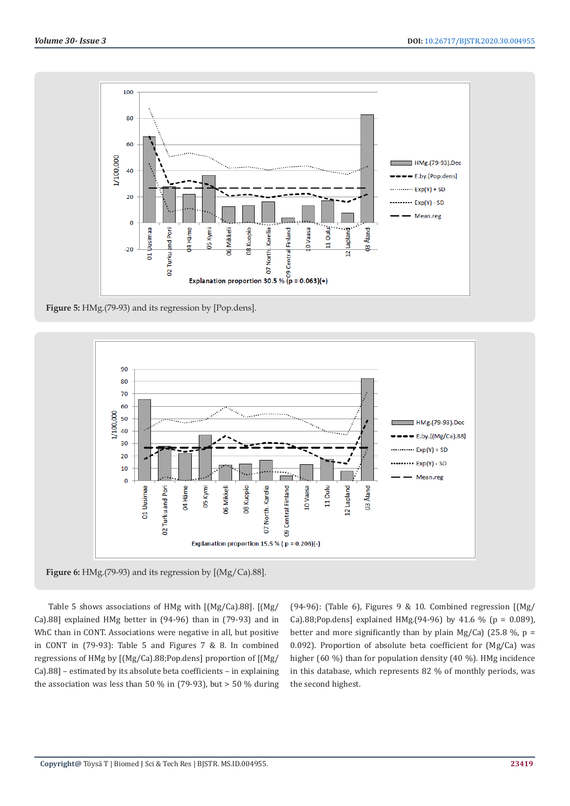

**Figure 5:** HMg.(79-93) and its regression by [Pop.dens].



Table 5 shows associations of HMg with [(Mg/Ca).88]. [(Mg/ Ca).88] explained HMg better in (94-96) than in (79-93) and in WhC than in CONT. Associations were negative in all, but positive in CONT in (79-93): Table 5 and Figures 7 & 8. In combined regressions of HMg by [(Mg/Ca).88;Pop.dens] proportion of [(Mg/ Ca).88] – estimated by its absolute beta coefficients – in explaining the association was less than 50 % in (79-93), but  $>$  50 % during

(94-96): (Table 6), Figures 9 & 10. Combined regression  $[(Mg)/]$ Ca).88;Pop.dens] explained HMg.(94-96) by 41.6 % ( $p = 0.089$ ), better and more significantly than by plain Mg/Ca) (25.8 %,  $p =$ 0.092). Proportion of absolute beta coefficient for (Mg/Ca) was higher (60 %) than for population density (40 %). HMg incidence in this database, which represents 82 % of monthly periods, was the second highest.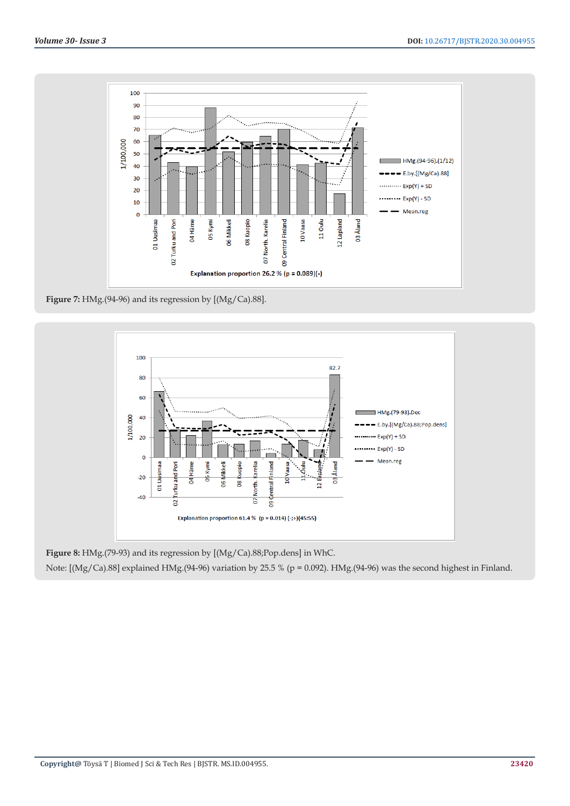

**Figure 7:** HMg.(94-96) and its regression by [(Mg/Ca).88].



**Figure 8:** HMg.(79-93) and its regression by [(Mg/Ca).88;Pop.dens] in WhC.

Note: [(Mg/Ca).88] explained HMg.(94-96) variation by 25.5 % (p = 0.092). HMg.(94-96) was the second highest in Finland.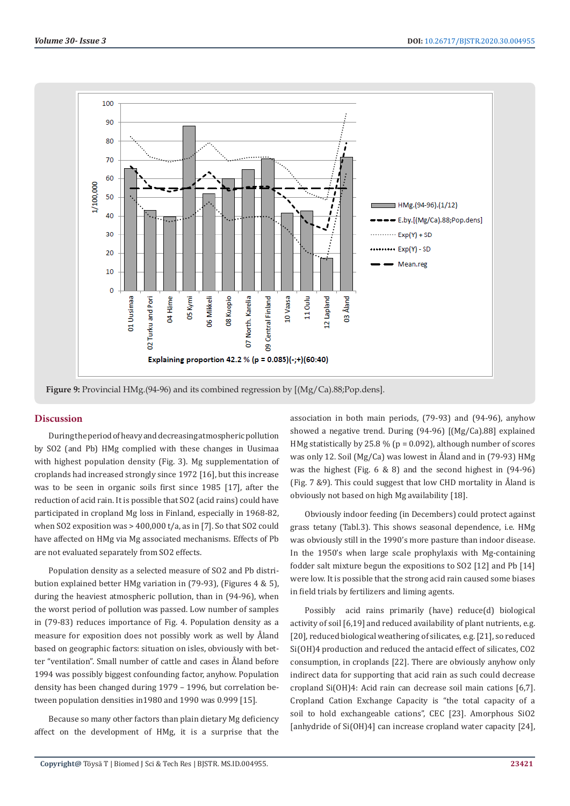

**Figure 9:** Provincial HMg.(94-96) and its combined regression by [(Mg/Ca).88;Pop.dens].

### **Discussion**

During the period of heavy and decreasing atmospheric pollution by SO2 (and Pb) HMg complied with these changes in Uusimaa with highest population density (Fig. 3). Mg supplementation of croplands had increased strongly since 1972 [16], but this increase was to be seen in organic soils first since 1985 [17], after the reduction of acid rain. It is possible that SO2 (acid rains) could have participated in cropland Mg loss in Finland, especially in 1968-82, when SO2 exposition was > 400,000 t/a, as in [7]. So that SO2 could have affected on HMg via Mg associated mechanisms. Effects of Pb are not evaluated separately from SO2 effects.

Population density as a selected measure of SO2 and Pb distribution explained better HMg variation in (79-93), (Figures 4 & 5), during the heaviest atmospheric pollution, than in (94-96), when the worst period of pollution was passed. Low number of samples in (79-83) reduces importance of Fig. 4. Population density as a measure for exposition does not possibly work as well by Åland based on geographic factors: situation on isles, obviously with better "ventilation". Small number of cattle and cases in Åland before 1994 was possibly biggest confounding factor, anyhow. Population density has been changed during 1979 – 1996, but correlation between population densities in1980 and 1990 was 0.999 [15].

Because so many other factors than plain dietary Mg deficiency affect on the development of HMg, it is a surprise that the association in both main periods, (79-93) and (94-96), anyhow showed a negative trend. During (94-96) [(Mg/Ca).88] explained HMg statistically by 25.8 % ( $p = 0.092$ ), although number of scores was only 12. Soil (Mg/Ca) was lowest in Åland and in (79-93) HMg was the highest (Fig. 6 & 8) and the second highest in (94-96) (Fig. 7 &9). This could suggest that low CHD mortality in Åland is obviously not based on high Mg availability [18].

Obviously indoor feeding (in Decembers) could protect against grass tetany (Tabl.3). This shows seasonal dependence, i.e. HMg was obviously still in the 1990's more pasture than indoor disease. In the 1950's when large scale prophylaxis with Mg-containing fodder salt mixture begun the expositions to SO2 [12] and Pb [14] were low. It is possible that the strong acid rain caused some biases in field trials by fertilizers and liming agents.

Possibly acid rains primarily (have) reduce(d) biological activity of soil [6,19] and reduced availability of plant nutrients, e.g. [20], reduced biological weathering of silicates, e.g. [21], so reduced Si(OH)4 production and reduced the antacid effect of silicates, CO2 consumption, in croplands [22]. There are obviously anyhow only indirect data for supporting that acid rain as such could decrease cropland Si(OH)4: Acid rain can decrease soil main cations [6,7]. Cropland Cation Exchange Capacity is "the total capacity of a soil to hold exchangeable cations", CEC [23]. Amorphous SiO2 [anhydride of Si(OH)4] can increase cropland water capacity [24],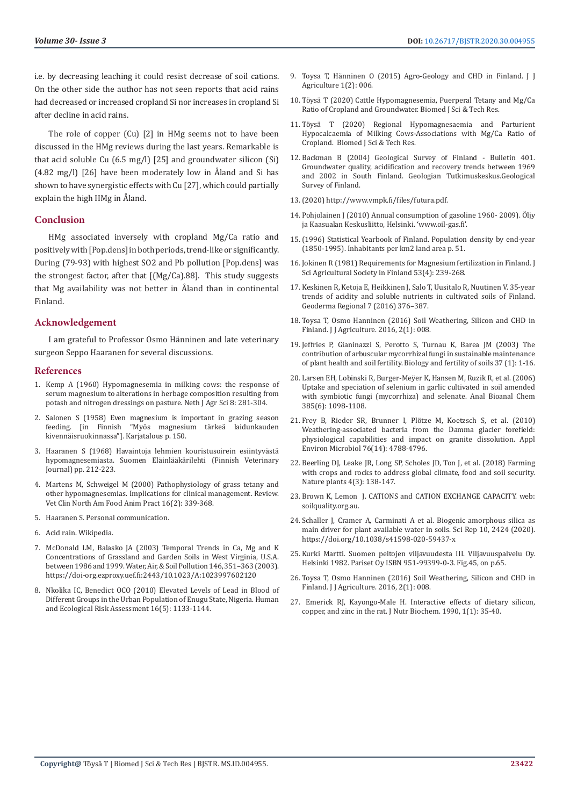i.e. by decreasing leaching it could resist decrease of soil cations. On the other side the author has not seen reports that acid rains had decreased or increased cropland Si nor increases in cropland Si after decline in acid rains.

The role of copper (Cu) [2] in HMg seems not to have been discussed in the HMg reviews during the last years. Remarkable is that acid soluble Cu (6.5 mg/l) [25] and groundwater silicon (Si) (4.82 mg/l) [26] have been moderately low in Åland and Si has shown to have synergistic effects with Cu [27], which could partially explain the high HMg in Åland.

#### **Conclusion**

HMg associated inversely with cropland Mg/Ca ratio and positively with [Pop.dens] in both periods, trend-like or significantly. During (79-93) with highest SO2 and Pb pollution [Pop.dens] was the strongest factor, after that [(Mg/Ca).88]. This study suggests that Mg availability was not better in Åland than in continental Finland.

#### **Acknowledgement**

I am grateful to Professor Osmo Hänninen and late veterinary surgeon Seppo Haaranen for several discussions.

#### **References**

- 1. [Kemp A \(1960\) Hypomagnesemia in milking cows: the response of](https://library.wur.nl/ojs/index.php/njas/article/view/17642)  [serum magnesium to alterations in herbage composition resulting from](https://library.wur.nl/ojs/index.php/njas/article/view/17642)  [potash and nitrogen dressings on pasture. Neth J Agr Sci 8: 281-304.](https://library.wur.nl/ojs/index.php/njas/article/view/17642)
- 2. Salonen S (1958) Even magnesium is important in grazing season feeding. [in Finnish "Myös magnesium tärkeä laidunkauden kivennäisruokinnassa"]. Karjatalous p. 150.
- 3. Haaranen S (1968) Havaintoja lehmien kouristusoirein esiintyvästä hypomagnesemiasta. Suomen Eläinlääkärilehti (Finnish Veterinary Journal) pp. 212-223.
- 4. [Martens M, Schweigel M \(2000\) Pathophysiology of grass tetany and](https://pubmed.ncbi.nlm.nih.gov/11022344/)  [other hypomagnesemias. Implications for clinical management. Review.](https://pubmed.ncbi.nlm.nih.gov/11022344/)  [Vet Clin North Am Food Anim Pract 16\(2\): 339-368.](https://pubmed.ncbi.nlm.nih.gov/11022344/)
- 5. Haaranen S. Personal communication.
- 6. [Acid rain. Wikipedia.](https://en.wikipedia.org/wiki/Acid_rain)
- 7. McDonald LM, Balasko JA (2003) Temporal Trends in Ca, Mg and K Concentrations of Grassland and Garden Soils in West Virginia, U.S.A. between 1986 and 1999.Water, Air, & Soil Pollution146,351–363 (2003). https://doi-org.ezproxy.uef.fi:2443/10.1023/A:1023997602120
- 8. [Nkolika IC, Benedict OCO \(2010\) Elevated Levels of Lead in Blood of](https://www.tandfonline.com/doi/abs/10.1080/10807039.2010.512257)  [Different Groups in the Urban Population of Enugu State, Nigeria. Human](https://www.tandfonline.com/doi/abs/10.1080/10807039.2010.512257)  [and Ecological Risk Assessment 16\(5\): 1133-1144.](https://www.tandfonline.com/doi/abs/10.1080/10807039.2010.512257)
- 9. [Toysa T, Hänninen O \(2015\) Agro-Geology and CHD in Finland. J J](https://www.academia.edu/37887982/Agro_Geology_and_CHD_in_Finland) [Agriculture 1\(2\): 006.](https://www.academia.edu/37887982/Agro_Geology_and_CHD_in_Finland)
- 10. [Töysä T \(2020\) Cattle Hypomagnesemia, Puerperal Tetany and Mg/Ca](https://biomedres.us/pdfs/BJSTR.MS.ID.004725.pdf) [Ratio of Cropland and Groundwater. Biomed J Sci & Tech Res.](https://biomedres.us/pdfs/BJSTR.MS.ID.004725.pdf)
- 11. [Töysä T \(2020\) Regional Hypomagnesaemia and Parturient](https://biomedres.us/pdfs/BJSTR.MS.ID.004737.pdf) [Hypocalcaemia of Milking Cows-Associations with Mg/Ca Ratio of](https://biomedres.us/pdfs/BJSTR.MS.ID.004737.pdf) [Cropland. Biomed J Sci & Tech Res.](https://biomedres.us/pdfs/BJSTR.MS.ID.004737.pdf)
- 12. [Backman B \(2004\) Geological Survey of Finland Bulletin 401.](https://books.google.co.in/books/about/Groundwater_Quality_Acidification_and_Re.html?id=M7pRAQAAMAAJ&redir_esc=y) [Groundwater quality, acidification and recovery trends between 1969](https://books.google.co.in/books/about/Groundwater_Quality_Acidification_and_Re.html?id=M7pRAQAAMAAJ&redir_esc=y) [and 2002 in South Finland. Geologian Tutkimuskeskus.Geological](https://books.google.co.in/books/about/Groundwater_Quality_Acidification_and_Re.html?id=M7pRAQAAMAAJ&redir_esc=y) [Survey of Finland.](https://books.google.co.in/books/about/Groundwater_Quality_Acidification_and_Re.html?id=M7pRAQAAMAAJ&redir_esc=y)
- 13.(2020) http://www.vmpk.fi/files/futura.pdf.
- 14. Pohjolainen J (2010) Annual consumption of gasoline 1960- 2009). Öljy ja Kaasualan Keskusliitto, Helsinki. 'www.oil-gas.fi'.
- 15.(1996) Statistical Yearbook of Finland. Population density by end-year (1850-1995). Inhabitants per km2 land area p. 51.
- 16. Jokinen R (1981) Requirements for Magnesium fertilization in Finland. J Sci Agricultural Society in Finland 53(4): 239-268.
- 17. Keskinen R, Ketoja E, Heikkinen J, Salo T, Uusitalo R, Nuutinen V. 35-year trends of acidity and soluble nutrients in cultivated soils of Finland. Geoderma Regional 7 (2016) 376–387.
- 18. Toysa T, Osmo Hanninen (2016) Soil Weathering, Silicon and CHD in Finland. J J Agriculture. 2016, 2(1): 008.
- 19. [Jeffries P, Gianinazzi S, Perotto S, Turnau K, Barea JM \(2003\) The](https://www.researchgate.net/publication/225352842_The_contribution_of_arbuscular_mycorrhizal_fungi_in_sustainable_maintenance_of_plant_health_and_soil_fertility) [contribution of arbuscular mycorrhizal fungi in sustainable maintenance](https://www.researchgate.net/publication/225352842_The_contribution_of_arbuscular_mycorrhizal_fungi_in_sustainable_maintenance_of_plant_health_and_soil_fertility) [of plant health and soil fertility. Biology and fertility of soils 37 \(1\): 1-16.](https://www.researchgate.net/publication/225352842_The_contribution_of_arbuscular_mycorrhizal_fungi_in_sustainable_maintenance_of_plant_health_and_soil_fertility)
- 20. Larsen EH, Lobinski R, Burger-Meÿer K, Hansen M, Ruzik R, et al. (2006) Uptake and speciation of selenium in garlic cultivated in soil amended with symbiotic fungi (mycorrhiza) and selenate. Anal Bioanal Chem 385(6): 1098-1108.
- 21. [Frey B, Rieder SR, Brunner I, Plötze M, Koetzsch S, et al. \(2010\)](https://pubmed.ncbi.nlm.nih.gov/20525872/) [Weathering-associated bacteria from the Damma glacier forefield:](https://pubmed.ncbi.nlm.nih.gov/20525872/) [physiological capabilities and impact on granite dissolution. Appl](https://pubmed.ncbi.nlm.nih.gov/20525872/) [Environ Microbiol 76\(14\): 4788-4796.](https://pubmed.ncbi.nlm.nih.gov/20525872/)
- 22. [Beerling DJ, Leake JR, Long SP, Scholes JD, Ton J, et al. \(2018\) Farming](https://pubmed.ncbi.nlm.nih.gov/29459727/) [with crops and rocks to address global climate, food and soil security.](https://pubmed.ncbi.nlm.nih.gov/29459727/) [Nature plants 4\(3\): 138-147.](https://pubmed.ncbi.nlm.nih.gov/29459727/)
- 23. Brown K, Lemon J. CATIONS and CATION EXCHANGE CAPACITY. web: soilquality.org.au.
- 24. Schaller J, Cramer A, Carminati A et al. Biogenic amorphous silica as main driver for plant available water in soils. Sci Rep 10, 2424 (2020). https://doi.org/10.1038/s41598-020-59437-x
- 25. Kurki Martti. Suomen peltojen viljavuudesta III. Viljavuuspalvelu Oy. Helsinki 1982. Pariset Oy ISBN 951-99399-0-3. Fig.45, on p.65.
- 26. Toysa T, Osmo Hanninen (2016) Soil Weathering, Silicon and CHD in Finland. J J Agriculture. 2016, 2(1): 008.
- 27. Emerick RJ, Kayongo-Male H. Interactive effects of dietary silicon, copper, and zinc in the rat. J Nutr Biochem. 1990, 1(1): 35-40.